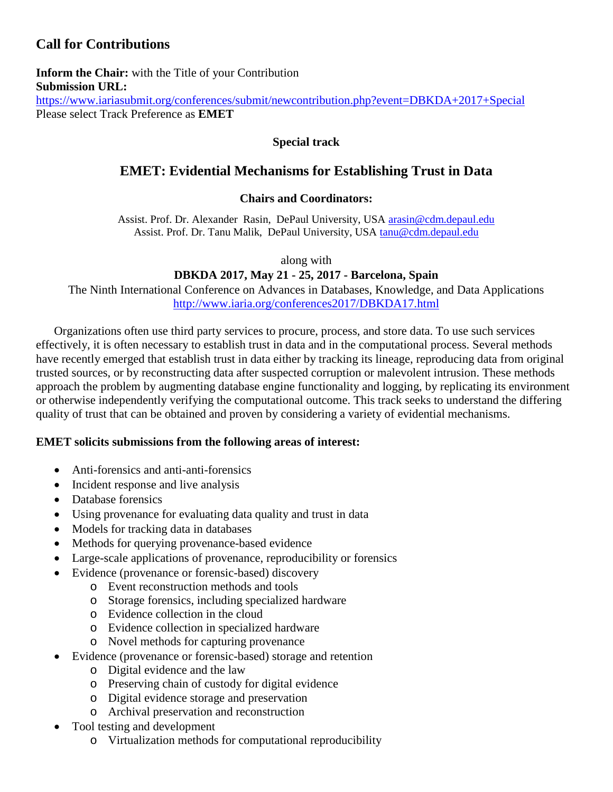# **Call for Contributions**

**Inform the Chair:** with the Title of your Contribution **Submission URL:** <https://www.iariasubmit.org/conferences/submit/newcontribution.php?event=DBKDA+2017+Special>

Please select Track Preference as **EMET**

## **Special track**

## **EMET: Evidential Mechanisms for Establishing Trust in Data**

## **Chairs and Coordinators:**

Assist. Prof. Dr. Alexander Rasin, DePaul University, USA [arasin@cdm.depaul.edu](mailto:arasin@cdm.depaul.edu) Assist. Prof. Dr. Tanu Malik, DePaul University, USA [tanu@cdm.depaul.edu](mailto:tanu@cdm.depaul.edu)

along with

## **DBKDA 2017, May 21 - 25, 2017 - Barcelona, Spain**

The Ninth International Conference on Advances in Databases, Knowledge, and Data Applications <http://www.iaria.org/conferences2017/DBKDA17.html>

Organizations often use third party services to procure, process, and store data. To use such services effectively, it is often necessary to establish trust in data and in the computational process. Several methods have recently emerged that establish trust in data either by tracking its lineage, reproducing data from original trusted sources, or by reconstructing data after suspected corruption or malevolent intrusion. These methods approach the problem by augmenting database engine functionality and logging, by replicating its environment or otherwise independently verifying the computational outcome. This track seeks to understand the differing quality of trust that can be obtained and proven by considering a variety of evidential mechanisms.

### **EMET solicits submissions from the following areas of interest:**

- Anti-forensics and anti-anti-forensics
- Incident response and live analysis
- Database forensics
- Using provenance for evaluating data quality and trust in data
- Models for tracking data in databases
- Methods for querying provenance-based evidence
- Large-scale applications of provenance, reproducibility or forensics
- Evidence (provenance or forensic-based) discovery
	- o Event reconstruction methods and tools
	- o Storage forensics, including specialized hardware
	- o Evidence collection in the cloud
	- o Evidence collection in specialized hardware
	- o Novel methods for capturing provenance
	- Evidence (provenance or forensic-based) storage and retention
		- o Digital evidence and the law
		- o Preserving chain of custody for digital evidence
		- o Digital evidence storage and preservation
		- o Archival preservation and reconstruction
- Tool testing and development
	- o Virtualization methods for computational reproducibility